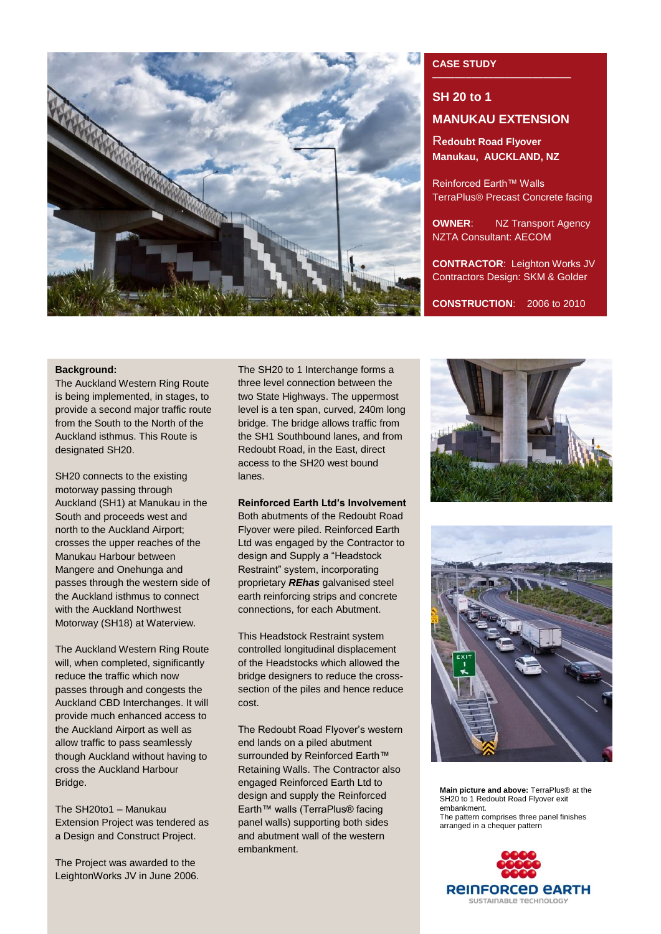

# **CASE STUDY**

# **SH 20 to 1 MANUKAU EXTENSION**

R**edoubt Road Flyover Manukau, AUCKLAND, NZ**

Reinforced Earth™ Walls TerraPlus® Precast Concrete facing

**OWNER:** NZ Transport Agency NZTA Consultant: AECOM

**CONTRACTOR**: Leighton Works JV Contractors Design: SKM & Golder

**CONSTRUCTION**: 2006 to 2010

## **Background:**

The Auckland Western Ring Route is being implemented, in stages, to provide a second major traffic route from the South to the North of the Auckland isthmus. This Route is designated SH20.

SH20 connects to the existing motorway passing through Auckland (SH1) at Manukau in the South and proceeds west and north to the Auckland Airport; crosses the upper reaches of the Manukau Harbour between Mangere and Onehunga and passes through the western side of the Auckland isthmus to connect with the Auckland Northwest Motorway (SH18) at Waterview.

The Auckland Western Ring Route will, when completed, significantly reduce the traffic which now passes through and congests the Auckland CBD Interchanges. It will provide much enhanced access to the Auckland Airport as well as allow traffic to pass seamlessly though Auckland without having to cross the Auckland Harbour Bridge.

The SH20to1 – Manukau Extension Project was tendered as a Design and Construct Project.

The Project was awarded to the LeightonWorks JV in June 2006. The SH20 to 1 Interchange forms a three level connection between the two State Highways. The uppermost level is a ten span, curved, 240m long bridge. The bridge allows traffic from the SH1 Southbound lanes, and from Redoubt Road, in the East, direct access to the SH20 west bound lanes.

# **Reinforced Earth Ltd's Involvement**

Both abutments of the Redoubt Road Flyover were piled. Reinforced Earth Ltd was engaged by the Contractor to design and Supply a "Headstock Restraint" system, incorporating proprietary *REhas* galvanised steel earth reinforcing strips and concrete connections, for each Abutment.

This Headstock Restraint system controlled longitudinal displacement of the Headstocks which allowed the bridge designers to reduce the crosssection of the piles and hence reduce cost.

The Redoubt Road Flyover's western end lands on a piled abutment surrounded by Reinforced Earth™ Retaining Walls. The Contractor also engaged Reinforced Earth Ltd to design and supply the Reinforced Earth™ walls (TerraPlus® facing panel walls) supporting both sides and abutment wall of the western embankment.





**Main picture and above:** TerraPlus® at the SH20 to 1 Redoubt Road Flyover exit embankment. The pattern comprises three panel finishes arranged in a chequer pattern